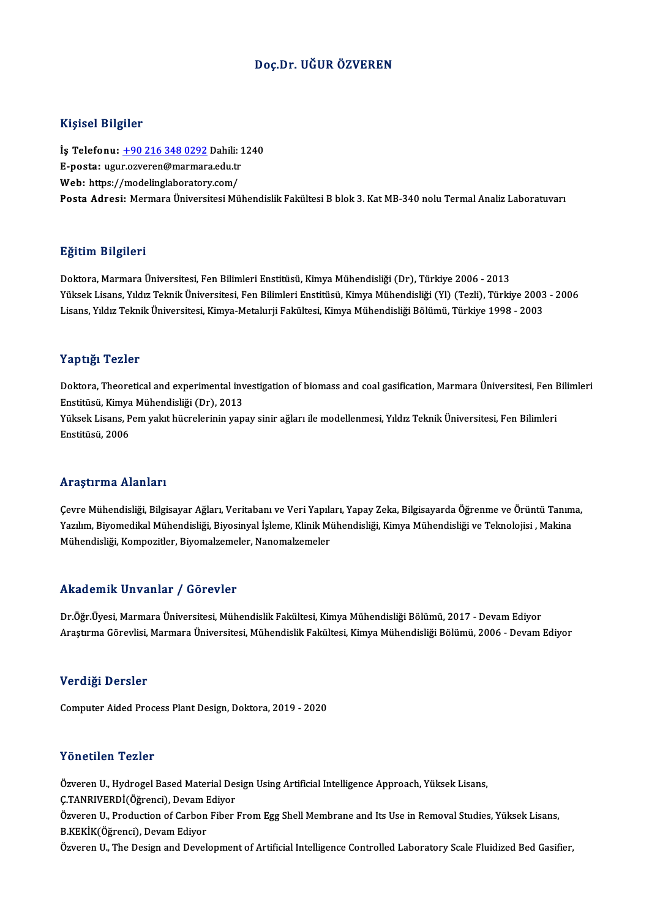#### Doç.Dr. UĞUR ÖZVEREN

#### Kişisel Bilgiler

Kişisel Bilgiler<br>İş Telefonu: <u>+90 216 348 0292</u> Dahili: 1240<br>E nosta: ugur ozyaran@marmara.cdu.tr 11191001 DABA01<br>İş Telefonu: <u>+90 216 348 0292</u> Dahili: 1<br>E-posta: ugu[r.ozveren@marmar](tel:+90 216 348 0292)a.edu.tr<br>Web: https://medelinglaberatery.com/ İş Telefonu: <u>+90 216 348 0292</u> Dahili:<br>E-posta: ugur.ozveren@marmara.edu.tr<br>Web: https://modelinglaboratory.com/<br>Posta Adresi: Mermara Üniversitesi Mü E-posta: ugur.ozveren@marmara.edu.tr<br>Web: https://modelinglaboratory.com/<br>Posta Adresi: Mermara Üniversitesi Mühendislik Fakültesi B blok 3. Kat MB-340 nolu Termal Analiz Laboratuvarı

#### Eğitim Bilgileri

Doktora,MarmaraÜniversitesi,FenBilimleriEnstitüsü,KimyaMühendisliği (Dr),Türkiye 2006 -2013 25.<br>29. Doktora, Marmara Üniversitesi, Fen Bilimleri Enstitüsü, Kimya Mühendisliği (Dr), Türkiye 2006 - 2013<br>Yüksek Lisans, Yıldız Teknik Üniversitesi, Fen Bilimleri Enstitüsü, Kimya Mühendisliği (Yl) (Tezli), Türkiye 2003 Doktora, Marmara Üniversitesi, Fen Bilimleri Enstitüsü, Kimya Mühendisliği (Dr), Türkiye 2006 - 2013<br>Yüksek Lisans, Yıldız Teknik Üniversitesi, Fen Bilimleri Enstitüsü, Kimya Mühendisliği (Yl) (Tezli), Türkiye 2003<br>Lisans, Lisans, Yıldız Teknik Üniversitesi, Kimya-Metalurji Fakültesi, Kimya Mühendisliği Bölümü, Türkiye 1998 - 2003<br>Yaptığı Tezler

Yaptığı Tezler<br>Doktora, Theoretical and experimental investigation of biomass and coal gasification, Marmara Üniversitesi, Fen Bilimleri<br>Fratitieü, Kimya Mühandialiği (Dr.), 2012 rupus<br>Doktora, Theoretical and experimental inv<br>Enstitüsü, Kimya Mühendisliği (Dr), 2013<br><sup>Vültselt Lisans, Rom valut bück</sup>elerinin van Doktora, Theoretical and experimental investigation of biomass and coal gasification, Marmara Üniversitesi, Fen I<br>Enstitüsü, Kimya Mühendisliği (Dr), 2013<br>Yüksek Lisans, Pem yakıt hücrelerinin yapay sinir ağları ile modell Enstitüsü, Kimya Mühendisliği (Dr), 2013<br>Yüksek Lisans, Pem yakıt hücrelerinin yapay sinir ağları ile modellenmesi, Yıldız Teknik Üniversitesi, Fen Bilimleri<br>Enstitüsü, 2006

#### Araştırma Alanları

**Araştırma Alanları**<br>Çevre Mühendisliği, Bilgisayar Ağları, Veritabanı ve Veri Yapıları, Yapay Zeka, Bilgisayarda Öğrenme ve Örüntü Tanıma,<br>Yazılım Biyamedikal Mühandisliği, Biyesinyal İslame, Klinik Mühandisliği, Kimya Mü Yazılım,Biyon in Talan dan Ferniman II.<br>Çevre Mühendisliği, Bilgisayar Ağları, Veritabanı ve Veri Yapıları, Yapay Zeka, Bilgisayarda Öğrenme ve Örüntü Tanım<br>Yazılım, Biyomedikal Mühendisliği, Biyosinyal İşleme, Klinik Mühe Yazılım, Biyomedikal Mühendisliği, Biyosinyal İşleme, Klinik Mühendisliği, Kimya Mühendisliği ve Teknolojisi , Makina<br>Mühendisliği, Kompozitler, Biyomalzemeler, Nanomalzemeler

#### Akademik Unvanlar / Görevler

Dr.Öğr.Üyesi, Marmara Üniversitesi, Mühendislik Fakültesi, Kimya Mühendisliği Bölümü, 2017 - Devam Ediyor Araştırma Görevlisi, Marmara Üniversitesi, Mühendislik Fakültesi, Kimya Mühendisliği Bölümü, 2006 - Devam Ediyor

#### Verdiği Dersler

Computer Aided Process Plant Design, Doktora, 2019 - 2020

#### Yönetilen Tezler

Yönetilen Tezler<br>Özveren U., Hydrogel Based Material Design Using Artificial Intelligence Approach, Yüksek Lisans,<br>C.TANRIVERDİ(Öğrensi), Devam Ediyer TUNUENDI TUNUI<br>Özveren U., Hydrogel Based Material De:<br>Ç.TANRIVERDİ(Öğrenci), Devam Ediyor<br>Özveren II. Production of Carbon Eiber

Özveren U., Hydrogel Based Material Design Using Artificial Intelligence Approach, Yüksek Lisans,<br>Ç.TANRIVERDİ(Öğrenci), Devam Ediyor<br>Özveren U., Production of Carbon Fiber From Egg Shell Membrane and Its Use in Removal St Ç.TANRIVERDİ(Öğrenci), Devam I<br>Özveren U., Production of Carbon<br>B.KEKİK(Öğrenci), Devam Ediyor<br>Özveren U. The Design and Devel Özveren U., Production of Carbon Fiber From Egg Shell Membrane and Its Use in Removal Studies, Yüksek Lisans,<br>B.KEKİK(Öğrenci), Devam Ediyor<br>Özveren U., The Design and Development of Artificial Intelligence Controlled Labo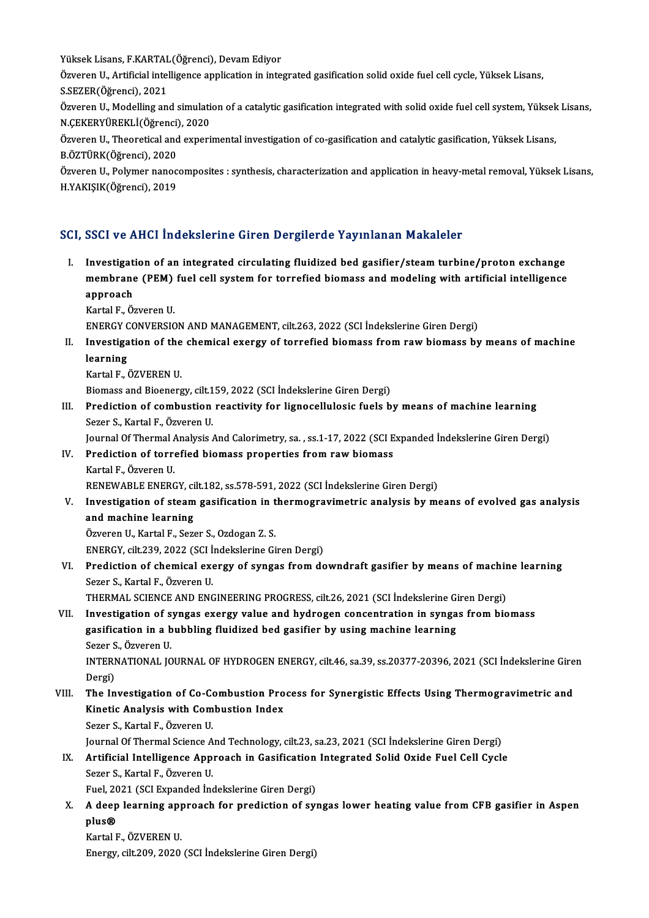Yüksek Lisans, F.KARTAL(Öğrenci), Devam Ediyor<br>Özvenen II. Artificial intelligence ennligetion in inte

Özveren U., Artificial intelligence application in integrated gasification solid oxide fuel cell cycle, Yüksek Lisans,<br>S.SEZER(Öğrenci), 2021 Yüksek Lisans, F.KARTAL<br>Özveren U., Artificial intel<br>S.SEZER(Öğrenci), 2021<br>Özveren U. Medelling en Özveren U., Artificial intelligence application in integrated gasification solid oxide fuel cell cycle, Yüksek Lisans,<br>S.SEZER(Öğrenci), 2021<br>Özveren U., Modelling and simulation of a catalytic gasification integrated with

S.SEZER(Öğrenci), 2021<br>Özveren U., Modelling and simulati<br>N.ÇEKERYÜREKLİ(Öğrenci), 2020<br>Özveren U. Theoreticel and evneri Özveren U., Modelling and simulation of a catalytic gasification integrated with solid oxide fuel cell system, Yüksek<br>N.ÇEKERYÜREKLİ(Öğrenci), 2020<br>Özveren U., Theoretical and experimental investigation of co-gasification

N.ÇEKERYÜREKLİ(Öğrenci), 2020<br>Özveren U., Theoretical and experimental investigation of co-gasification and catalytic gasification, Yüksek Lisans,<br>B.ÖZTÜRK(Öğrenci), 2020 Özveren U., Theoretical and experimental investigation of co-gasification and catalytic gasification, Yüksek Lisans,<br>B.ÖZTÜRK(Öğrenci), 2020<br>Özveren U., Polymer nanocomposites : synthesis, characterization and application

B.ÖZTÜRK(Öğrenci), 2020<br>Özveren U., Polymer nanoc<br>H.YAKIŞIK(Öğrenci), 2019

# H.YAKIŞIK(Öğrenci), 2019<br>SCI, SSCI ve AHCI İndekslerine Giren Dergilerde Yayınlanan Makaleler

I. Investigation of an integrated circulating fluidized bed gasifier/steam turbine/proton exchange mestigation of an integrated circulating fluidized bed gasifier/steam turbine/proton exchange<br>Investigation of an integrated circulating fluidized bed gasifier/steam turbine/proton exchange<br>nonpooch Investigat<br>membrane<br>approach<br><sup>Kortol E. Ö</sub>.</sup> membrane (PEM)<br>approach<br>Kartal F., Özveren U.<br>ENEDCV CONVERSIC <mark>approach</mark><br>Kartal F., Özveren U.<br>ENERGY CONVERSION AND MANAGEMENT, cilt.263, 2022 (SCI İndekslerine Giren Dergi)<br>Investisation of the shamisal evensy of tannefied biomass from new biomass by

Kartal F., Özveren U.<br>ENERGY CONVERSION AND MANAGEMENT, cilt.263, 2022 (SCI İndekslerine Giren Dergi)<br>II. Investigation of the chemical exergy of torrefied biomass from raw biomass by means of machine<br>Jeanning ENERGY<br>Investiga<br>learning<br>Kartal E Investigation of the<br>learning<br>Kartal F., ÖZVEREN U.<br>Piomass and Piomars

learning<br>Kartal F., ÖZVEREN U.<br>Biomass and Bioenergy, cilt.159, 2022 (SCI İndekslerine Giren Dergi)

Kartal F., ÖZVEREN U.<br>Biomass and Bioenergy, cilt.159, 2022 (SCI İndekslerine Giren Dergi)<br>III. Prediction of combustion reactivity for lignocellulosic fuels by means of machine learning<br>Seger S. Kartal E. Ögyeren U. Biomass and Bioenergy, cilt.1<br>Prediction of combustion<br>Sezer S., Kartal F., Özveren U.<br>Journal Of Thormal Analysis Sezer S., Kartal F., Özveren U.<br>Journal Of Thermal Analysis And Calorimetry, sa. , ss.1-17, 2022 (SCI Expanded İndekslerine Giren Dergi)

Sezer S., Kartal F., Özveren U.<br>Journal Of Thermal Analysis And Calorimetry, sa. , ss.1-17, 2022 (SCI E<br>IV. Prediction of torrefied biomass properties from raw biomass<br>Kartal E. Özveren U. **Journal Of Thermal /<br>Prediction of torre<br>Kartal F., Özveren U.<br>PENEWAPLE ENERG** Prediction of torrefied biomass properties from raw biomass<br>Kartal F., Özveren U.<br>RENEWABLE ENERGY, cilt.182, ss.578-591, 2022 (SCI İndekslerine Giren Dergi)<br>Investigation of staam gesifisation in thermogravimetris analysi

Kartal F., Özveren U.<br>RENEWABLE ENERGY, cilt.182, ss.578-591, 2022 (SCI İndekslerine Giren Dergi)<br>V. Investigation of steam gasification in thermogravimetric analysis by means of evolved gas analysis<br>and machine learnin RENEWABLE ENERGY, cilt.182, ss.578-591, 2022 (SCI Indekslerine Giren Dergi)<br>Investigation of steam gasification in thermogravimetric analysis by m<br>and machine learning<br>Özveren U., Kartal F., Sezer S., Ozdogan Z. S. Investigation of steam gasification in t<br>and machine learning<br>Özveren U., Kartal F., Sezer S., Ozdogan Z. S.<br>ENEDCV. sit: 220, 2022 (SCL Indekslering Gi

ENERGY, cilt.239, 2022 (SCI İndekslerine Giren Dergi)

## Özveren U., Kartal F., Sezer S., Ozdogan Z. S.<br>ENERGY, cilt.239, 2022 (SCI İndekslerine Giren Dergi)<br>VI. Prediction of chemical exergy of syngas from downdraft gasifier by means of machine learning<br>Serey S. Kartal E. Özver ENERGY, cilt.239, 2022 (SCI İ<br>Prediction of chemical exe<br>Sezer S., Kartal F., Özveren U.<br>THEPMAL SCIENCE AND ENG Prediction of chemical exergy of syngas from downdraft gasifier by means of machir<br>Sezer S., Kartal F., Özveren U.<br>THERMAL SCIENCE AND ENGINEERING PROGRESS, cilt.26, 2021 (SCI İndekslerine Giren Dergi)<br>Investigation of syn

Sezer S., Kartal F., Özveren U.<br>THERMAL SCIENCE AND ENGINEERING PROGRESS, cilt.26, 2021 (SCI İndekslerine Giren Dergi)<br>VII. Investigation of syngas exergy value and hydrogen concentration in syngas from biomass<br>Testficatio THERMAL SCIENCE AND ENGINEERING PROGRESS, cilt.26, 2021 (SCI Indekslerine Giren Dergi)<br>Investigation of syngas exergy value and hydrogen concentration in syngas from bio<br>gasification in a bubbling fluidized bed gasifier by Investigation of s<br>gasification in a b<br>Sezer S., Özveren U.<br>INTERNATIONAL JO gasification in a bubbling fluidized bed gasifier by using machine learning<br>Sezer S., Özveren U.<br>INTERNATIONAL JOURNAL OF HYDROGEN ENERGY, cilt.46, sa.39, ss.20377-20396, 2021 (SCI İndekslerine Giren<br>Persi)

Sezer S<br>INTERI<br>Dergi)<br>The In INTERNATIONAL JOURNAL OF HYDROGEN ENERGY, cilt.46, sa.39, ss.20377-20396, 2021 (SCI indekslerine Gire<br>Dergi)<br>VIII. The Investigation of Co-Combustion Process for Synergistic Effects Using Thermogravimetric and<br>Kinatis Anal

## Dergi)<br>The Investigation of Co-Combustion Pro<br>Kinetic Analysis with Combustion Index<br>Seger S. Kartal E. Ögyeren II The Investigation of Co-Co<br>Kinetic Analysis with Com<br>Sezer S., Kartal F., Özveren U.<br>Journal Of Thermal Science A. Kinetic Analysis with Combustion Index<br>Sezer S., Kartal F., Özveren U.<br>Journal Of Thermal Science And Technology, cilt.23, sa.23, 2021 (SCI İndekslerine Giren Dergi)<br>Artificial Intelligence Annreach in Cosification Integra

## Sezer S., Kartal F., Özveren U.<br>Journal Of Thermal Science And Technology, cilt.23, sa.23, 2021 (SCI İndekslerine Giren Dergi)<br>IX. Artificial Intelligence Approach in Gasification Integrated Solid Oxide Fuel Cell Cycle<br>Ser Journal Of Thermal Science A<br>Artificial Intelligence App<br>Sezer S., Kartal F., Özveren U.<br>Fuel 2021 (SCI Eupanded Inc Artificial Intelligence Approach in Gasification<br>Sezer S., Kartal F., Özveren U.<br>Fuel, 2021 (SCI Expanded İndekslerine Giren Dergi)<br>A deen learning approach for prodiction of sur

Sezer S., Kartal F., Özveren U.<br>Fuel, 2021 (SCI Expanded İndekslerine Giren Dergi)<br>X. A deep learning approach for prediction of syngas lower heating value from CFB gasifier in Aspen<br>Rhis@ Fuel, 2021 (SCI Expanded Indekslerine Giren Dergi)<br>A deep learning approach for prediction of sy<br>plus®<br>Kartal F., ÖZVEREN U. A deep learning app<br>plus®<br>Kartal F., ÖZVEREN U.<br>Frergy silt 200, 2020

Energy, cilt.209, 2020 (SCI İndekslerine Giren Dergi)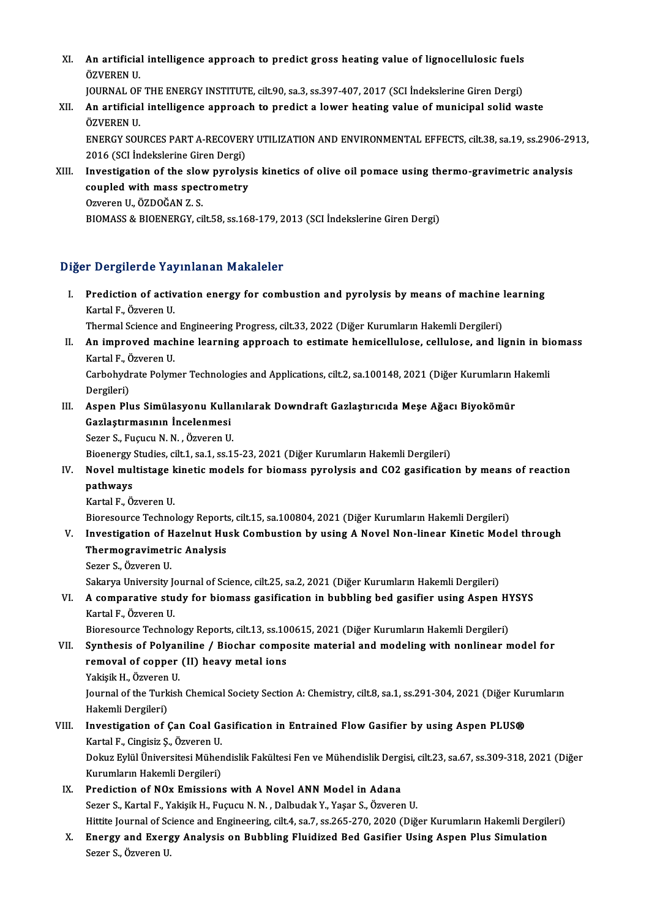- XI. An artificial intelligence approach to predict gross heating value of lignocellulosic fuels<br>ÖZVEREN U **An artificia<br>ÖZVERENU.**<br>JOURNAL OF An artificial intelligence approach to predict gross heating value of lignocellulosic fuels<br>ÖZVEREN U.<br>JOURNAL OF THE ENERGY INSTITUTE, cilt.90, sa.3, ss.397-407, 2017 (SCI İndekslerine Giren Dergi)<br>An artificial intellige
	- JOURNAL OF THE ENERGY INSTITUTE, cilt.90, sa.3, ss.397-407, 2017 (SCI Indekslerine Giren Dergi)
- ÖZVEREN U.<br>JOURNAL OF THE ENERGY INSTITUTE, cilt.90, sa.3, ss.397-407, 2017 (SCI İndekslerine Giren Dergi)<br>XII. An artificial intelligence approach to predict a lower heating value of municipal solid waste<br>ÖZVEREN U. An artificial intelligence approach to predict a lower heating value of municipal solid waste<br>ÖZVEREN U.<br>ENERGY SOURCES PART A-RECOVERY UTILIZATION AND ENVIRONMENTAL EFFECTS, cilt.38, sa.19, ss.2906-2913,<br>2016 (SCLIndeksle

ÖZVEREN U.<br>ENERGY SOURCES PART A-RECOVER<br>2016 (SCI İndekslerine Giren Dergi)<br>Investigation of the slow nurolus ENERGY SOURCES PART A-RECOVERY UTILIZATION AND ENVIRONMENTAL EFFECTS, cilt.38, sa.19, ss.2906-29<br>2016 (SCI Indekslerine Giren Dergi)<br>XIII. Investigation of the slow pyrolysis kinetics of olive oil pomace using thermo-gravi

2016 (SCI Indekslerine Giren Dergi)<br>Investigation of the slow pyrolys<br>coupled with mass spectrometry<br>Oweren U. ÖZDOČAN Z S Investigation of the slov<br>coupled with mass spec<br>Ozveren U., ÖZDOĞAN Z. S.<br>PIOMASS & PIOENEDCV si coupled with mass spectrometry<br>Ozveren U., ÖZDOĞAN Z. S.<br>BIOMASS & BIOENERGY, cilt.58, ss.168-179, 2013 (SCI İndekslerine Giren Dergi)

#### Diğer Dergilerde Yayınlanan Makaleler

Iger Dergilerde Yayınlanan Makaleler<br>I. Prediction of activation energy for combustion and pyrolysis by means of machine learning<br>Kartal E. Öwenen H Prediction of active<br>Frediction of active<br>Kartal F., Özveren U.<br>Thermal Science and Prediction of activation energy for combustion and pyrolysis by means of machine l<br>Kartal F., Özveren U.<br>Thermal Science and Engineering Progress, cilt.33, 2022 (Diğer Kurumların Hakemli Dergileri)<br>An improved machine lear

Kartal F., Özveren U.<br>Thermal Science and Engineering Progress, cilt.33, 2022 (Diğer Kurumların Hakemli Dergileri)<br>II. An improved machine learning approach to estimate hemicellulose, cellulose, and lignin in biomass<br>K Thermal Science and<br>An improved mach<br>Kartal F., Özveren U.<br>Carbabydrata Palym An improved machine learning approach to estimate hemicellulose, cellulose, and lignin in bi<br>Kartal F., Özveren U.<br>Carbohydrate Polymer Technologies and Applications, cilt.2, sa.100148, 2021 (Diğer Kurumların Hakemli<br>Dersi

Kartal F., Č<br>Carbohydi<br>Dergileri)<br>Asnan Plı Carbohydrate Polymer Technologies and Applications, cilt.2, sa.100148, 2021 (Diğer Kurumların F<br>Dergileri)<br>III. Aspen Plus Simülasyonu Kullanılarak Downdraft Gazlaştırıcıda Meşe Ağacı Biyokömür<br>Gazlaştırmasının İngelenmesi

Dergileri)<br>Aspen Plus Simülasyonu Kulla<br>Gazlaştırmasının İncelenmesi<br>Sezer S. Eugugu N. N., Özyeren U Aspen Plus Simülasyonu Kulla<br>Gazlaştırmasının İncelenmesi<br>Sezer S., Fuçucu N. N. , Özveren U.<br>Bioenergy Studies cilt 1, sa 1, sa 1. Gazlaştırmasının İncelenmesi<br>Sezer S., Fuçucu N. N. , Özveren U.<br>Bioenergy Studies, cilt.1, sa.1, ss.15-23, 2021 (Diğer Kurumların Hakemli Dergileri)<br>Nevel multistage kinetis models far biomasa nurolyais and 603 gasifisati

Sezer S., Fuçucu N. N. , Özveren U.<br>Bioenergy Studies, cilt.1, sa.1, ss.15-23, 2021 (Diğer Kurumların Hakemli Dergileri)<br>IV. Novel multistage kinetic models for biomass pyrolysis and CO2 gasification by means of reacti Bioenergy<br>Novel mul<br>pathways<br>Kartal E. Ö Novel multistage k<br>pathways<br>Kartal F., Özveren U.<br>Bioresoures Teshne pathways<br>Kartal F., Özveren U.<br>Bioresource Technology Reports, cilt.15, sa.100804, 2021 (Diğer Kurumların Hakemli Dergileri)<br>Investisation of Hazelnut Husk Combustion by usins A Novel Non lineen Kinetis Mode

- Kartal F., Özveren U.<br>Bioresource Technology Reports, cilt.15, sa.100804, 2021 (Diğer Kurumların Hakemli Dergileri)<br>V. Investigation of Hazelnut Husk Combustion by using A Novel Non-linear Kinetic Model through<br>Thermog Bioresource Technology Report<br>Investigation of Hazelnut Hu<br>Thermogravimetric Analysis<br>Seger S. Öwenen H Investigation of H<br>Thermogravimetr<br>Sezer S., Özveren U.<br>Sekarva University b Thermogravimetric Analysis<br>Sezer S., Özveren U.<br>Sakarya University Journal of Science, cilt.25, sa.2, 2021 (Diğer Kurumların Hakemli Dergileri)<br>A semnerative study for biomese sesifisation in bubbling bed sesifier veing As
	-

Sezer S., Özveren U.<br>Sakarya University Journal of Science, cilt.25, sa.2, 2021 (Diğer Kurumların Hakemli Dergileri)<br>VI. A comparative study for biomass gasification in bubbling bed gasifier using Aspen HYSYS<br>Kartal E. Sakarya University Jone<br><mark>A comparative stu</mark><br>Kartal F., Özveren U.<br>Bioresourse Teshne VI. A comparative study for biomass gasification in bubbling bed gasifier using Aspen HYSYS<br>Kartal F., Özveren U.<br>Bioresource Technology Reports, cilt.13, ss.100615, 2021 (Diğer Kurumların Hakemli Dergileri)

VII. Synthesis of Polyaniline / Biochar composite material and modeling with nonlinear model for Bioresource Technology Reports, cilt.13, ss.10<br>Synthesis of Polyaniline / Biochar compo<br>removal of copper (II) heavy metal ions<br>Valisik H. Ögyeren II Synthesis of Polyan<br>removal of copper<br>Yakişik H., Özveren U.<br>Journal of the Turkish

removal of copper (II) heavy metal ions<br>Yakişik H., Özveren U.<br>Journal of the Turkish Chemical Society Section A: Chemistry, cilt.8, sa.1, ss.291-304, 2021 (Diğer Kurumların<br>Hakemli Dergileri) Yakişik H., Özveren<br>Journal of the Turk<br>Hakemli Dergileri)<br>Investisation of 6 Journal of the Turkish Chemical Society Section A: Chemistry, cilt.8, sa.1, ss.291-304, 2021 (Diğer Kur<br>Hakemli Dergileri)<br>VIII. Investigation of Çan Coal Gasification in Entrained Flow Gasifier by using Aspen PLUS®<br>Kartal

Hakemli Dergileri)<br>Investigation of Çan Coal G.<br>Kartal F., Cingisiz Ş., Özveren U.<br>Dolara Frijil Ünivensitesi Müher Investigation of Çan Coal Gasification in Entrained Flow Gasifier by using Aspen PLUS®<br>Kartal F., Cingisiz Ş., Özveren U.<br>Dokuz Eylül Üniversitesi Mühendislik Fakültesi Fen ve Mühendislik Dergisi, cilt.23, sa.67, ss.309-31

Kartal F., Cingisiz Ş., Özveren U.<br>Dokuz Eylül Üniversitesi Müher<br>Kurumların Hakemli Dergileri)<br>Prodistion of NOv Emission Dokuz Eylül Üniversitesi Mühendislik Fakültesi Fen ve Mühendislik Derg<br>Kurumların Hakemli Dergileri)<br>IX. Prediction of NOx Emissions with A Novel ANN Model in Adana<br>Seren S. Kartal E. Vakisik H. Fuguay N. N. Dalbudak V. Va

- Kurumların Hakemli Dergileri)<br>IX. Prediction of NOx Emissions with A Novel ANN Model in Adana<br>Sezer S., Kartal F., Yakişik H., Fuçucu N. N. , Dalbudak Y., Yaşar S., Özveren U. Prediction of NOx Emissions with A Novel ANN Model in Adana<br>Sezer S., Kartal F., Yakişik H., Fuçucu N. N. , Dalbudak Y., Yaşar S., Özveren U.<br>Hittite Journal of Science and Engineering, cilt.4, sa.7, ss.265-270, 2020 (Diğe Sezer S., Kartal F., Yakişik H., Fuçucu N. N. , Dalbudak Y., Yaşar S., Özveren U.<br>Hittite Journal of Science and Engineering, cilt.4, sa.7, ss.265-270, 2020 (Diğer Kurumların Hakemli Dergile<br>X. Energy and Exergy Analysis o
- Hittite Journal of Sc<br><mark>Energy and Exer</mark>g<br>Sezer S., Özveren U.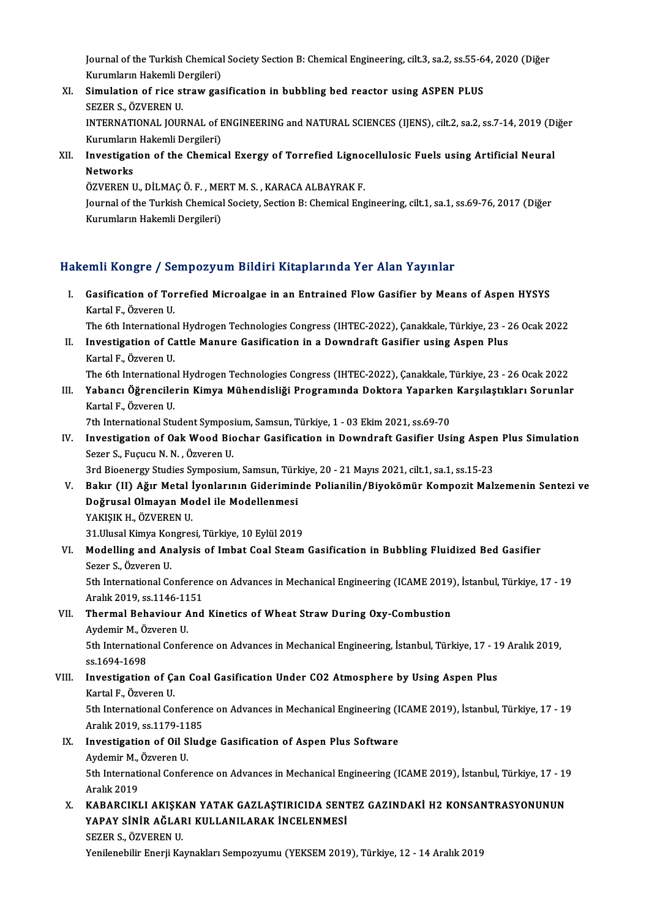Journal of the Turkish Chemical Society Section B: Chemical Engineering, cilt.3, sa.2, ss.55-64, 2020 (Diğer<br>Kunumların Hakamli Dargileri) Journal of the Turkish Chemical<br>Kurumların Hakemli Dergileri)<br>Simulation of rise straw ges Journal of the Turkish Chemical Society Section B: Chemical Engineering, cilt.3, sa.2, ss.55-6<br>Kurumların Hakemli Dergileri)<br>XI. Simulation of rice straw gasification in bubbling bed reactor using ASPEN PLUS<br>SEZER S. ÖZVER

- Kurumların Hakemli Dergileri)<br>XI. Simulation of rice straw gasification in bubbling bed reactor using ASPEN PLUS<br>SEZER S., ÖZVEREN U. Simulation of rice straw gasification in bubbling bed reactor using ASPEN PLUS<br>SEZER S., ÖZVEREN U.<br>INTERNATIONAL JOURNAL of ENGINEERING and NATURAL SCIENCES (IJENS), cilt.2, sa.2, ss.7-14, 2019 (Diğer<br>Kurumların Hakamli D SEZER S., ÖZVEREN U.<br>INTERNATIONAL JOURNAL of E<br>Kurumların Hakemli Dergileri)<br>Investisation of the Chemics INTERNATIONAL JOURNAL of ENGINEERING and NATURAL SCIENCES (IJENS), cilt.2, sa.2, ss.7-14, 2019 (D:<br>Kurumların Hakemli Dergileri)<br>XII. Investigation of the Chemical Exergy of Torrefied Lignocellulosic Fuels using Artificial
- Kurumların<br><mark>Investigat</mark><br>Networks<br>ÖZVEREN I Investigation of the Chemical Exergy of Torrefied Ligno<br>Networks<br>ÖZVEREN U., DİLMAÇ Ö. F. , MERT M. S. , KARACA ALBAYRAK F.<br>Journal of the Turkish Chemical Society, Section B. Chemical Eng

Networks<br>ÖZVEREN U., DİLMAÇ Ö. F. , MERT M. S. , KARACA ALBAYRAK F.<br>Journal of the Turkish Chemical Society, Section B: Chemical Engineering, cilt.1, sa.1, ss.69-76, 2017 (Diğer<br>Kurumların Hakamli Dargileri) ÖZVEREN U., DİLMAÇ Ö. F. , ME<br>Journal of the Turkish Chemica<br>Kurumların Hakemli Dergileri)

# Kurumların Hakemli Dergileri)<br>Hakemli Kongre / Sempozyum Bildiri Kitaplarında Yer Alan Yayınlar

- akemli Kongre / Sempozyum Bildiri Kitaplarında Yer Alan Yayınlar<br>I. Gasification of Torrefied Microalgae in an Entrained Flow Gasifier by Means of Aspen HYSYS<br>Kartal E. Öwenen H kartal Frongree 7<br>Gasification of Tor<br>Kartal F., Özveren U.<br>The 6th Internations Gasification of Torrefied Microalgae in an Entrained Flow Gasifier by Means of Aspen HYSYS<br>Kartal F., Özveren U.<br>The 6th International Hydrogen Technologies Congress (IHTEC-2022), Çanakkale, Türkiye, 23 - 26 Ocak 2022<br>Inve
- Kartal F., Özveren U.<br>I . Investigation of Cattle Manure Gasification in a Downdraft Gasifier using Aspen Plus<br>I . Investigation of Cattle Manure Gasification in a Downdraft Gasifier using Aspen Plus<br>Kartal E. Özveren U. The 6th Internationa<br>Investigation of Ca<br>Kartal F., Özveren U.<br>The 6th Internationa Investigation of Cattle Manure Gasification in a Downdraft Gasifier using Aspen Plus<br>Kartal F., Özveren U.<br>The 6th International Hydrogen Technologies Congress (IHTEC-2022), Çanakkale, Türkiye, 23 - 26 Ocak 2022<br>Yahang: Öğ

Kartal F., Özveren U.<br>1922 The 6th International Hydrogen Technologies Congress (IHTEC-2022), Çanakkale, Türkiye, 23 - 26 Ocak 2022<br>11. Yapancı Öğrencilerin Kimya Mühendisliği Programında Doktora Yaparken Karşılaştıkla The 6th Internationa<br>Yabancı Öğrencile<br>Kartal F., Özveren U.<br><sup>7th International Stu</sup> Yabancı Öğrencilerin Kimya Mühendisliği Programında Doktora Yaparken<br>Kartal F., Özveren U.<br>7th International Student Symposium, Samsun, Türkiye, 1 - 03 Ekim 2021, ss.69-70<br>Investigation of Oak Wood Bioshar Cosification in

Kartal F., Özveren U.<br>7th International Student Symposium, Samsun, Türkiye, 1 - 03 Ekim 2021, ss.69-70<br>IV. Investigation of Oak Wood Biochar Gasification in Downdraft Gasifier Using Aspen Plus Simulation<br>Seger S. Eugue 7th International Student Symposium, Samsun, Türkiye, 1 - 03 Ekim 2021, ss.69-70<br>Investigation of Oak Wood Biochar Gasification in Downdraft Gasifier Using Asper<br>Sezer S., Fuçucu N. N. , Özveren U.<br>3rd Bioenergy Studies Sy Investigation of Oak Wood Biochar Gasification in Downdraft Gasifier Using Asper<br>Sezer S., Fuçucu N. N. , Özveren U.<br>3rd Bioenergy Studies Symposium, Samsun, Türkiye, 20 - 21 Mayıs 2021, cilt.1, sa.1, ss.15-23<br>Bakır (U) Ağ

V. Bakır (II) Ağır Metal İyonlarının Gideriminde Polianilin/Biyokömür Kompozit Malzemenin Sentezi ve Doğrusal Olmayan Model ile Modellenmesi YAKIŞIK H., ÖZVEREN U. Doğrusal Olmayan Model ile Modellenmesi<br>YAKIŞIK H., ÖZVEREN U.<br>31.Ulusal Kimya Kongresi, Türkiye, 10 Eylül 2019<br>Modelling and Analysis of Imbat Coal Steam

### VI. Modelling and Analysis of Imbat Coal Steam Gasification in Bubbling Fluidized Bed Gasifier<br>Sezer S., Özveren U. **31.Ulusal Kimya Kor<br>Modelling and An<br>Sezer S., Özveren U.<br>Eth International Co** Modelling and Analysis of Imbat Coal Steam Gasification in Bubbling Fluidized Bed Gasifier<br>Sezer S., Özveren U.<br>5th International Conference on Advances in Mechanical Engineering (ICAME 2019), İstanbul, Türkiye, 17 - 19<br>Ar

Sezer S., Özveren U.<br>5th International Conferenc<br>Aralık 2019, ss.1146-1151<br>Thermal Behaviour And 5th International Conference on Advances in Mechanical Engineering (ICAME 2019)<br>Aralık 2019, ss.1146-1151<br>VII. Thermal Behaviour And Kinetics of Wheat Straw During Oxy-Combustion<br>Avdemir M. Özyeren II.

# Aralık 2019, ss.1146-11<br>**Thermal Behaviour** *A***ydemir M., Özveren U.**<br>Eth International Confo

Thermal Behaviour And Kinetics of Wheat Straw During Oxy-Combustion<br>Aydemir M., Özveren U.<br>5th International Conference on Advances in Mechanical Engineering, İstanbul, Türkiye, 17 - 19 Aralık 2019,<br>99.1694.1699 Aydemir M., Öz<br>5th Internation<br>ss.1694-1698<br>Investigation 5th International Conference on Advances in Mechanical Engineering, İstanbul, Türkiye, 17 - 1<br>ss.1694-1698<br>VIII. Investigation of Çan Coal Gasification Under CO2 Atmosphere by Using Aspen Plus<br>Kartal E. Önveren H

## ss.1694-1698<br>Investigation of Ça<br>Kartal F., Özveren U.<br>Eth International Co Investigation of Çan Coal Gasification Under CO2 Atmosphere by Using Aspen Plus<br>Kartal F., Özveren U.<br>5th International Conference on Advances in Mechanical Engineering (ICAME 2019), İstanbul, Türkiye, 17 - 19<br>Aralık 2019,

Kartal F., Özveren U.<br>5th International Conference<br>Aralık 2019, ss.1179-1185<br>Investisation of Oil Slud 5th International Conference on Advances in Mechanical Engineering (I<br>Aralık 2019, ss.1179-1185<br>IX. Investigation of Oil Sludge Gasification of Aspen Plus Software<br>Ardomir M. Özveren H

## Aralık 2019, ss.1179-11<br>Investigation of Oil S<br>Aydemir M., Özveren U.<br>Eth International Confo Aydemir M., Özveren U.

5th International Conference on Advances in Mechanical Engineering (ICAME 2019), İstanbul, Türkiye, 17 - 19<br>Aralık 2019 5th International Conference on Advances in Mechanical Engineering (ICAME 2019), İstanbul, Türkiye, 17 - 19<br>Aralık 2019<br>X. KABARCIKLI AKIŞKAN YATAK GAZLAŞTIRICIDA SENTEZ GAZINDAKİ H2 KONSANTRASYONUNUN<br>XARAY SİNİR AĞLARL KU

### Aralık 2019<br>KABARCIKLI AKIŞKAN YATAK GAZLAŞTIRICIDA SENT<br>YAPAY SİNİR AĞLARI KULLANILARAK İNCELENMESİ<br>SEZER S. ÖZVEREN U KABARCIKLI AKIŞK<br>YAPAY SİNİR AĞLAF<br>SEZER S., ÖZVEREN U.<br>Yanilanabilin Enerii Ka YAPAY SİNİR AĞLARI KULLANILARAK İNCELENMESİ<br>SEZER S., ÖZVEREN U.<br>Yenilenebilir Enerji Kaynakları Sempozyumu (YEKSEM 2019), Türkiye, 12 - 14 Aralık 2019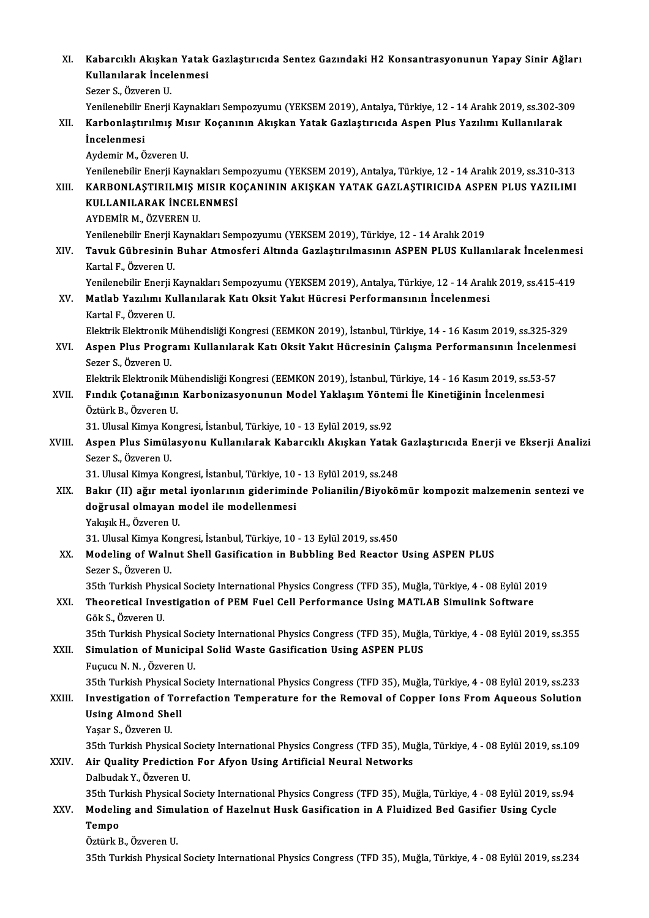| XI.    | Kabarcıklı Akışkan Yatak Gazlaştırıcıda Sentez Gazındaki H2 Konsantrasyonunun Yapay Sinir Ağları                                         |
|--------|------------------------------------------------------------------------------------------------------------------------------------------|
|        | Kullanılarak İncelenmesi                                                                                                                 |
|        | Sezer S., Özveren U.                                                                                                                     |
|        | Yenilenebilir Enerji Kaynakları Sempozyumu (YEKSEM 2019), Antalya, Türkiye, 12 - 14 Aralık 2019, ss.302-309                              |
| XII.   | Karbonlaştırılmış Mısır Koçanının Akışkan Yatak Gazlaştırıcıda Aspen Plus Yazılımı Kullanılarak                                          |
|        | <i>incelenmesi</i>                                                                                                                       |
|        | Aydemir M., Özveren U.                                                                                                                   |
|        | Yenilenebilir Enerji Kaynakları Sempozyumu (YEKSEM 2019), Antalya, Türkiye, 12 - 14 Aralık 2019, ss.310-313                              |
| XIII.  | KARBONLAŞTIRILMIŞ MISIR KOÇANININ AKIŞKAN YATAK GAZLAŞTIRICIDA ASPEN PLUS YAZILIMI                                                       |
|        | KULLANILARAK İNCELENMESİ                                                                                                                 |
|        | AYDEMİR M, ÖZVEREN U.                                                                                                                    |
|        | Yenilenebilir Enerji Kaynakları Sempozyumu (YEKSEM 2019), Türkiye, 12 - 14 Aralık 2019                                                   |
| XIV.   | Tavuk Gübresinin Buhar Atmosferi Altında Gazlaştırılmasının ASPEN PLUS Kullanılarak İncelenmesi                                          |
|        | Kartal F, Özveren U.                                                                                                                     |
|        | Yenilenebilir Enerji Kaynakları Sempozyumu (YEKSEM 2019), Antalya, Türkiye, 12 - 14 Aralık 2019, ss.415-419                              |
| XV.    | Matlab Yazılımı Kullanılarak Katı Oksit Yakıt Hücresi Performansının İncelenmesi                                                         |
|        | Kartal F, Özveren U.                                                                                                                     |
|        | Elektrik Elektronik Mühendisliği Kongresi (EEMKON 2019), İstanbul, Türkiye, 14 - 16 Kasım 2019, ss.325-329                               |
| XVI.   | Aspen Plus Programı Kullanılarak Katı Oksit Yakıt Hücresinin Çalışma Performansının İncelenmesi                                          |
|        | Sezer S., Özveren U.                                                                                                                     |
|        | Elektrik Elektronik Mühendisliği Kongresi (EEMKON 2019), İstanbul, Türkiye, 14 - 16 Kasım 2019, ss.53-57                                 |
| XVII.  | Fındık Çotanağının Karbonizasyonunun Model Yaklaşım Yöntemi İle Kinetiğinin İncelenmesi                                                  |
|        | Öztürk B., Özveren U.                                                                                                                    |
|        | 31. Ulusal Kimya Kongresi, İstanbul, Türkiye, 10 - 13 Eylül 2019, ss.92                                                                  |
| XVIII. | Aspen Plus Simülasyonu Kullanılarak Kabarcıklı Akışkan Yatak Gazlaştırıcıda Enerji ve Ekserji Analizi                                    |
|        | Sezer S., Özveren U.                                                                                                                     |
|        | 31. Ulusal Kimya Kongresi, İstanbul, Türkiye, 10 - 13 Eylül 2019, ss.248                                                                 |
| XIX.   | Bakır (II) ağır metal iyonlarının gideriminde Polianilin/Biyokömür kompozit malzemenin sentezi ve                                        |
|        | doğrusal olmayan model ile modellenmesi                                                                                                  |
|        | Yakışık H., Özveren U.                                                                                                                   |
|        | 31. Ulusal Kimya Kongresi, İstanbul, Türkiye, 10 - 13 Eylül 2019, ss.450                                                                 |
| XX.    | Modeling of Walnut Shell Gasification in Bubbling Bed Reactor Using ASPEN PLUS                                                           |
|        | Sezer S., Özveren U.                                                                                                                     |
|        | 35th Turkish Physical Society International Physics Congress (TFD 35), Muğla, Türkiye, 4 - 08 Eylül 2019                                 |
| XXI.   | Theoretical Investigation of PEM Fuel Cell Performance Using MATLAB Simulink Software                                                    |
|        | Gök S., Özveren U.                                                                                                                       |
|        | 35th Turkish Physical Society International Physics Congress (TFD 35), Muğla, Türkiye, 4 - 08 Eylül 2019, ss.355                         |
| XXII.  | Simulation of Municipal Solid Waste Gasification Using ASPEN PLUS                                                                        |
|        | Fuçucu N. N., Özveren U.                                                                                                                 |
|        | 35th Turkish Physical Society International Physics Congress (TFD 35), Muğla, Türkiye, 4 - 08 Eylül 2019, ss.233                         |
| XXIII. | Investigation of Torrefaction Temperature for the Removal of Copper Ions From Aqueous Solution                                           |
|        | <b>Using Almond Shell</b>                                                                                                                |
|        | Yaşar S., Özveren U.<br>35th Turkish Physical Society International Physics Congress (TFD 35), Muğla, Türkiye, 4 - 08 Eylül 2019, ss.109 |
|        | Air Quality Prediction For Afyon Using Artificial Neural Networks                                                                        |
| XXIV.  | Dalbudak Y., Özveren U.                                                                                                                  |
|        | 35th Turkish Physical Society International Physics Congress (TFD 35), Muğla, Türkiye, 4 - 08 Eylül 2019, ss 94                          |
| XXV.   | Modeling and Simulation of Hazelnut Husk Gasification in A Fluidized Bed Gasifier Using Cycle                                            |
|        | Tempo                                                                                                                                    |
|        | Öztürk B., Özveren U.                                                                                                                    |
|        | 35th Turkish Physical Society International Physics Congress (TFD 35), Muğla, Türkiye, 4 - 08 Eylül 2019, ss.234                         |
|        |                                                                                                                                          |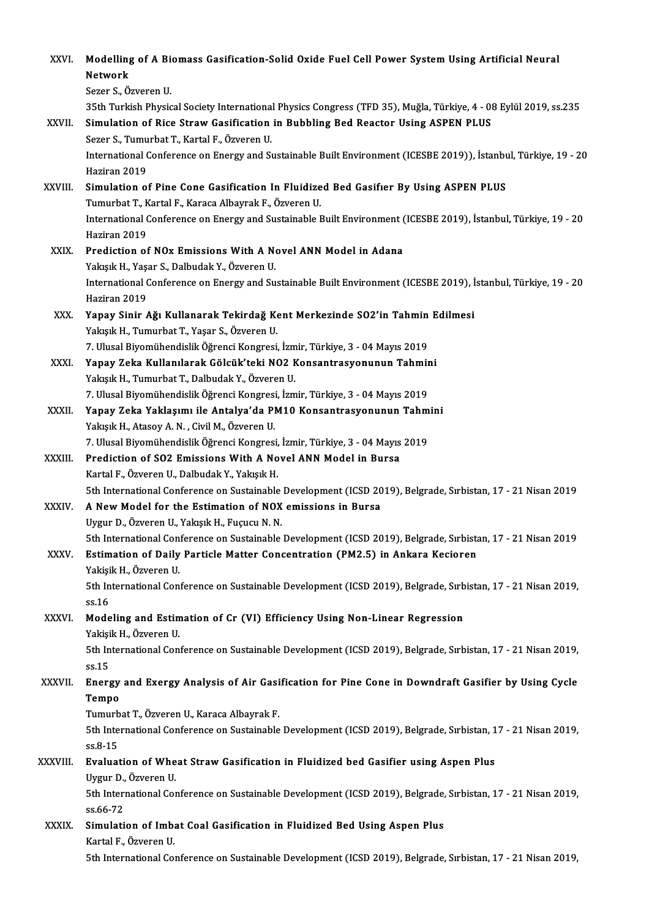| XXVI.          | Modelling of A Biomass Gasification-Solid Oxide Fuel Cell Power System Using Artificial Neural<br><b>Network</b><br>Sezer S., Özveren U.                                                                                                           |
|----------------|----------------------------------------------------------------------------------------------------------------------------------------------------------------------------------------------------------------------------------------------------|
| XXVII.         | 35th Turkish Physical Society International Physics Congress (TFD 35), Muğla, Türkiye, 4 - 08 Eylül 2019, ss.235<br>Simulation of Rice Straw Gasification in Bubbling Bed Reactor Using ASPEN PLUS<br>Sezer S., Tumurbat T., Kartal F., Özveren U. |
|                | International Conference on Energy and Sustainable Built Environment (ICESBE 2019)), İstanbul, Türkiye, 19 - 20<br>Haziran 2019                                                                                                                    |
| XXVIII.        | Simulation of Pine Cone Gasification In Fluidized Bed Gasifier By Using ASPEN PLUS<br>Tumurbat T., Kartal F., Karaca Albayrak F., Özveren U.                                                                                                       |
|                | International Conference on Energy and Sustainable Built Environment (ICESBE 2019), İstanbul, Türkiye, 19 - 20<br>Haziran 2019                                                                                                                     |
| XXIX.          | Prediction of NOx Emissions With A Novel ANN Model in Adana<br>Yakışık H., Yaşar S., Dalbudak Y., Özveren U.<br>International Conference on Energy and Sustainable Built Environment (ICESBE 2019), İstanbul, Türkiye, 19 - 20                     |
| XXX.           | Haziran 2019<br>Yapay Sinir Ağı Kullanarak Tekirdağ Kent Merkezinde SO2'in Tahmin Edilmesi                                                                                                                                                         |
|                | Yakışık H., Tumurbat T., Yaşar S., Özveren U.<br>7. Ulusal Biyomühendislik Öğrenci Kongresi, İzmir, Türkiye, 3 - 04 Mayıs 2019                                                                                                                     |
| XXXI.          | Yapay Zeka Kullanılarak Gölcük'teki NO2 Konsantrasyonunun Tahmini<br>Yakışık H., Tumurbat T., Dalbudak Y., Özveren U.                                                                                                                              |
| XXXII.         | 7. Ulusal Biyomühendislik Öğrenci Kongresi, İzmir, Türkiye, 3 - 04 Mayıs 2019<br>Yapay Zeka Yaklaşımı ile Antalya'da PM10 Konsantrasyonunun Tahmini<br>Yakışık H., Atasoy A. N., Civil M., Özveren U.                                              |
| XXXIII.        | 7. Ulusal Biyomühendislik Öğrenci Kongresi, İzmir, Türkiye, 3 - 04 Mayıs 2019<br>Prediction of SO2 Emissions With A Novel ANN Model in Bursa                                                                                                       |
| XXXIV.         | Kartal F., Özveren U., Dalbudak Y., Yakışık H.<br>5th International Conference on Sustainable Development (ICSD 2019), Belgrade, Sırbistan, 17 - 21 Nisan 2019<br>A New Model for the Estimation of NOX emissions in Bursa                         |
|                | Uygur D., Özveren U., Yakışık H., Fuçucu N. N.<br>5th International Conference on Sustainable Development (ICSD 2019), Belgrade, Sırbistan, 17 - 21 Nisan 2019                                                                                     |
| XXXV.          | Estimation of Daily Particle Matter Concentration (PM2.5) in Ankara Kecioren<br>Yakişik H., Özveren U.                                                                                                                                             |
|                | 5th International Conference on Sustainable Development (ICSD 2019), Belgrade, Sırbistan, 17 - 21 Nisan 2019,<br>ss 16                                                                                                                             |
| <b>XXXVI</b> . | Modeling and Estimation of Cr (VI) Efficiency Using Non-Linear Regression<br>Yakişik H., Özveren U.                                                                                                                                                |
|                | 5th International Conference on Sustainable Development (ICSD 2019), Belgrade, Sırbistan, 17 - 21 Nisan 2019,<br>ss 15                                                                                                                             |
| <b>XXXVII</b>  | Energy and Exergy Analysis of Air Gasification for Pine Cone in Downdraft Gasifier by Using Cycle<br>Tempo<br>Tumurbat T., Özveren U., Karaca Albayrak F.                                                                                          |
|                | 5th International Conference on Sustainable Development (ICSD 2019), Belgrade, Sırbistan, 17 - 21 Nisan 2019,<br>ss 8 15                                                                                                                           |
| XXXVIII.       | Evaluation of Wheat Straw Gasification in Fluidized bed Gasifier using Aspen Plus<br>Uygur D., Özveren U.                                                                                                                                          |
|                | 5th International Conference on Sustainable Development (ICSD 2019), Belgrade, Sırbistan, 17 - 21 Nisan 2019,<br>ss 66-72                                                                                                                          |
| <b>XXXIX</b>   | Simulation of Imbat Coal Gasification in Fluidized Bed Using Aspen Plus<br>Kartal F., Özveren U.<br>5th International Conference on Sustainable Development (ICSD 2019), Belgrade, Sırbistan, 17 - 21 Nisan 2019,                                  |
|                |                                                                                                                                                                                                                                                    |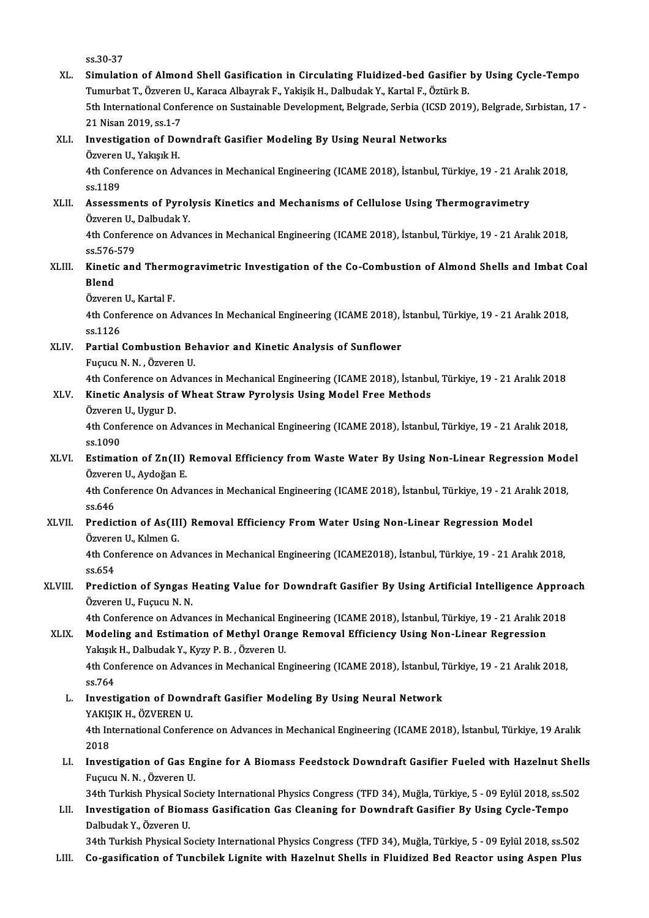| XL.     | ss 30-37<br>Simulation of Almond Shell Gasification in Circulating Fluidized-bed Gasifier by Using Cycle-Tempo<br>Tumurbat T., Özveren U., Karaca Albayrak F., Yakişik H., Dalbudak Y., Kartal F., Öztürk B.<br>5th International Conference on Sustainable Development, Belgrade, Serbia (ICSD 2019), Belgrade, Sırbistan, 17 |
|---------|--------------------------------------------------------------------------------------------------------------------------------------------------------------------------------------------------------------------------------------------------------------------------------------------------------------------------------|
|         | 21 Nisan 2019, ss.1-7                                                                                                                                                                                                                                                                                                          |
| XLI.    | Investigation of Downdraft Gasifier Modeling By Using Neural Networks<br>Özveren U., Yakışık H.                                                                                                                                                                                                                                |
|         | 4th Conference on Advances in Mechanical Engineering (ICAME 2018), İstanbul, Türkiye, 19 - 21 Aralık 2018,<br>ss 1189                                                                                                                                                                                                          |
| XLII.   | Assessments of Pyrolysis Kinetics and Mechanisms of Cellulose Using Thermogravimetry<br>Özveren U., Dalbudak Y.                                                                                                                                                                                                                |
|         | 4th Conference on Advances in Mechanical Engineering (ICAME 2018), İstanbul, Türkiye, 19 - 21 Aralık 2018,<br>ss 576-579                                                                                                                                                                                                       |
| XLIII.  | Kinetic and Thermogravimetric Investigation of the Co-Combustion of Almond Shells and Imbat Coal<br><b>Blend</b>                                                                                                                                                                                                               |
|         | Özveren U., Kartal F.                                                                                                                                                                                                                                                                                                          |
|         | 4th Conference on Advances In Mechanical Engineering (ICAME 2018), İstanbul, Türkiye, 19 - 21 Aralık 2018,<br>ss 1126                                                                                                                                                                                                          |
| XLIV.   | Partial Combustion Behavior and Kinetic Analysis of Sunflower                                                                                                                                                                                                                                                                  |
|         | Fuçucu N. N., Özveren U.                                                                                                                                                                                                                                                                                                       |
| XLV.    | 4th Conference on Advances in Mechanical Engineering (ICAME 2018), İstanbul, Türkiye, 19 - 21 Aralık 2018<br>Kinetic Analysis of Wheat Straw Pyrolysis Using Model Free Methods                                                                                                                                                |
|         | Özveren U., Uygur D.                                                                                                                                                                                                                                                                                                           |
|         | 4th Conference on Advances in Mechanical Engineering (ICAME 2018), İstanbul, Türkiye, 19 - 21 Aralık 2018,<br>ss.1090                                                                                                                                                                                                          |
| XLVI.   | Estimation of Zn(II) Removal Efficiency from Waste Water By Using Non-Linear Regression Model<br>Özveren U., Aydoğan E.                                                                                                                                                                                                        |
|         | 4th Conference On Advances in Mechanical Engineering (ICAME 2018), İstanbul, Türkiye, 19 - 21 Aralık 2018,                                                                                                                                                                                                                     |
| XLVII.  | ss 646<br>Prediction of As(III) Removal Efficiency From Water Using Non-Linear Regression Model<br>Özveren U., Kılmen G.                                                                                                                                                                                                       |
|         | 4th Conference on Advances in Mechanical Engineering (ICAME2018), İstanbul, Türkiye, 19 - 21 Aralık 2018,<br>ss 654                                                                                                                                                                                                            |
| XLVIII. | Prediction of Syngas Heating Value for Downdraft Gasifier By Using Artificial Intelligence Approach<br>Özveren U., Fuçucu N. N.                                                                                                                                                                                                |
|         | 4th Conference on Advances in Mechanical Engineering (ICAME 2018), İstanbul, Türkiye, 19 - 21 Aralık 2018                                                                                                                                                                                                                      |
| XLIX.   | Modeling and Estimation of Methyl Orange Removal Efficiency Using Non-Linear Regression<br>Yakışık H., Dalbudak Y., Kyzy P. B., Özveren U.                                                                                                                                                                                     |
|         | 4th Conference on Advances in Mechanical Engineering (ICAME 2018), İstanbul, Türkiye, 19 - 21 Aralık 2018,<br>ss 764                                                                                                                                                                                                           |
| L.      | Investigation of Downdraft Gasifier Modeling By Using Neural Network<br>YAKIŞIK H., ÖZVEREN U.                                                                                                                                                                                                                                 |
|         | 4th International Conference on Advances in Mechanical Engineering (ICAME 2018), İstanbul, Türkiye, 19 Aralık<br>2018                                                                                                                                                                                                          |
| LI.     | Investigation of Gas Engine for A Biomass Feedstock Downdraft Gasifier Fueled with Hazelnut Shells<br>Fuçucu N. N., Özveren U.                                                                                                                                                                                                 |
|         | 34th Turkish Physical Society International Physics Congress (TFD 34), Muğla, Türkiye, 5 - 09 Eylül 2018, ss.502                                                                                                                                                                                                               |
| LII.    | Investigation of Biomass Gasification Gas Cleaning for Downdraft Gasifier By Using Cycle-Tempo<br>Dalbudak Y., Özveren U.                                                                                                                                                                                                      |
|         | 34th Turkish Physical Society International Physics Congress (TFD 34), Muğla, Türkiye, 5 - 09 Eylül 2018, ss.502                                                                                                                                                                                                               |
| LIII.   | Co-gasification of Tuncbilek Lignite with Hazelnut Shells in Fluidized Bed Reactor using Aspen Plus                                                                                                                                                                                                                            |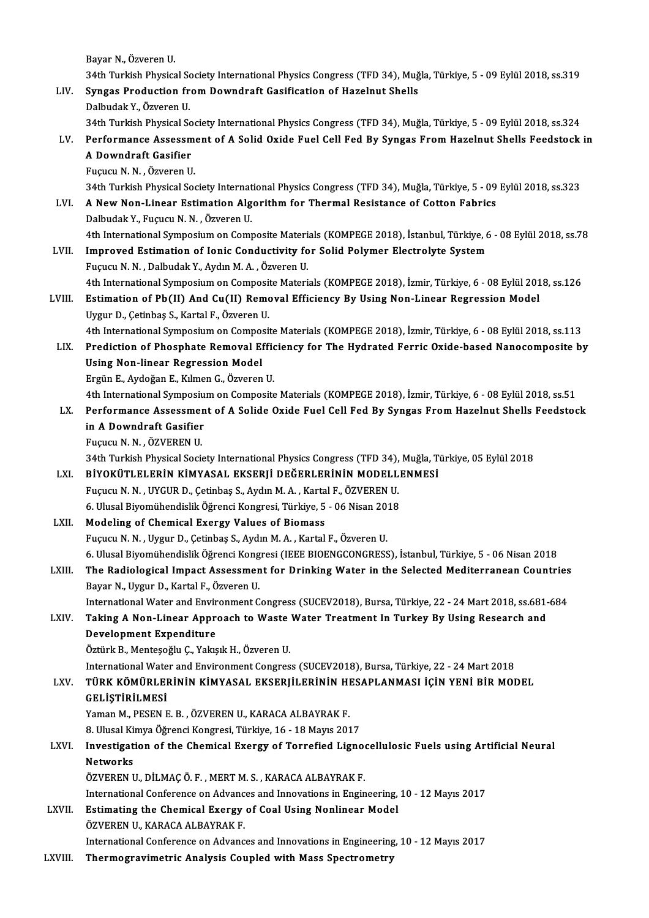Bayar N., Özveren U.

Bayar N., Özveren U.<br>34th Turkish Physical Society International Physics Congress (TFD 34), Muğla, Türkiye, 5 - 09 Eylül 2018, ss.319<br>Syngas Brodustion from Downdraft Cosifisation of Harelnut Shells. Bayar N., Özveren U.<br>34th Turkish Physical Society International Physics Congress (TFD 34), Muğ<br>LIV. Syngas Production from Downdraft Gasification of Hazelnut Shells

34th Turkish Physical So<br>**Syngas Production fr**<br>Dalbudak Y., Özveren U.<br>24th Turkish Physical So Syngas Production from Downdraft Gasification of Hazelnut Shells<br>Dalbudak Y., Özveren U.<br>34th Turkish Physical Society International Physics Congress (TFD 34), Muğla, Türkiye, 5 - 09 Eylül 2018, ss.324<br>Performance Assessme Dalbudak Y., Özveren U.<br>34th Turkish Physical Society International Physics Congress (TFD 34), Muğla, Türkiye, 5 - 09 Eylül 2018, ss.324<br>LV. Performance Assessment of A Solid Oxide Fuel Cell Fed By Syngas From Hazelnut

**34th Turkish Physical So<br>Performance Assessm<br>A Downdraft Gasifier**<br>Fugugu N. N. Ögyaren U Performance Assessm<br>A Downdraft Gasifier<br>Fuçucu N.N. , Özveren U.<br>24th Turkish Physical See A Downdraft Gasifier<br>Fuçucu N. N. , Özveren U.<br>34th Turkish Physical Society International Physics Congress (TFD 34), Muğla, Türkiye, 5 - 09 Eylül 2018, ss,323

Fuçucu N. N. , Özveren U.<br>34th Turkish Physical Society International Physics Congress (TFD 34), Muğla, Türkiye, 5 - 09<br>LVI. A New Non-Linear Estimation Algorithm for Thermal Resistance of Cotton Fabrics 34th Turkish Physical Society Internat<br>A New Non-Linear Estimation Alg<br>Dalbudak Y., Fuçucu N.N. , Özveren U.<br>4th International Sumposium on Comi A New Non-Linear Estimation Algorithm for Thermal Resistance of Cotton Fabrics<br>Dalbudak Y., Fuçucu N. N. , Özveren U.<br>4th International Symposium on Composite Materials (KOMPEGE 2018), İstanbul, Türkiye, 6 - 08 Eylül 2018, Dalbudak Y., Fuçucu N. N. , Özveren U.<br>4th International Symposium on Composite Materials (KOMPEGE 2018), İstanbul, Türkiye, 6<br>LVII. Improved Estimation of Ionic Conductivity for Solid Polymer Electrolyte System

Improved Estimation of Ionic Conductivity for Solid Polymer Electrolyte System Fuçucu N.N., Dalbudak Y., Aydın M.A., Özveren U. Improved Estimation of Ionic Conductivity for Solid Polymer Electrolyte System<br>Fuçucu N. N. , Dalbudak Y., Aydın M. A. , Özveren U.<br>4th International Symposium on Composite Materials (KOMPEGE 2018), İzmir, Türkiye, 6 - 08 Fuçucu N. N. , Dalbudak Y., Aydın M. A. , Özveren U.<br>4th International Symposium on Composite Materials (KOMPEGE 2018), İzmir, Türkiye, 6 - 08 Eylül 201<br>1. Estimation of Pb(II) And Cu(II) Removal Efficiency By Using Non-Li

4th International Symposium on Composit<br>Estimation of Pb(II) And Cu(II) Remo<br>Uygur D., Çetinbaş S., Kartal F., Özveren U.<br>4th International Symposium on Composit Estimation of Pb(II) And Cu(II) Removal Efficiency By Using Non-Linear Regression Model<br>Uygur D., Çetinbaş S., Kartal F., Özveren U.<br>4th International Symposium on Composite Materials (KOMPEGE 2018), İzmir, Türkiye, 6 - 08 Uygur D., Çetinbaş S., Kartal F., Özveren U.<br>4th International Symposium on Composite Materials (KOMPEGE 2018), İzmir, Türkiye, 6 - 08 Eylül 2018, ss.113<br>LIX. Prediction of Phosphate Removal Efficiency for The Hydrated

4th International Symposium on Compo:<br>Prediction of Phosphate Removal Ef<br>Using Non-linear Regression Model<br>Fraün E. Audožen E. Kumen C. Ösvenen Prediction of Phosphate Removal Effic<br>Using Non-linear Regression Model<br>Ergün E., Aydoğan E., Kılmen G., Özveren U.<br>4th International Sumnesium en Cemnesite Using Non-linear Regression Model<br>Ergün E., Aydoğan E., Kılmen G., Özveren U.<br>4th International Symposium on Composite Materials (KOMPEGE 2018), İzmir, Türkiye, 6 - 08 Eylül 2018, ss.51

Ergün E., Aydoğan E., Kılmen G., Özveren U.<br>4th International Symposium on Composite Materials (KOMPEGE 2018), İzmir, Türkiye, 6 - 08 Eylül 2018, ss.51<br>1.X. Performance Assessment of A Solide Oxide Fuel Cell Fed By Syngas 4th International Symposiu<br>Performance Assessmen<br>in A Downdraft Gasifier<br>Fugugu N N - ÖZVEREN U Performance Assessme<br>in A Downdraft Gasifier<br>Fuçucu N.N. , ÖZVEREN U.<br>24th Turkish Bhysical Socia in A Downdraft Gasifier<br>Fuçucu N. N. , ÖZVEREN U.<br>34th Turkish Physical Society International Physics Congress (TFD 34), Muğla, Türkiye, 05 Eylül 2018<br>PİYOKÜTI ELERLIK KİMYASAL EKSERLİ DEĞERLERLİNIN MODELLENMESİ

Fuçucu N. N. , ÖZVEREN U.<br>34th Turkish Physical Society International Physics Congress (TFD 34), Muğla, T<br>LXI. BİYOKÜTLELERİN KİMYASAL EKSERJİ DEĞERLERİNİN MODELLENMESİ<br>Fuçucu N. N. , UYGUR D., Çetinbaş S., Aydın M. A. , K 34th Turkish Physical Society International Physics Congress (TFD 34),<br>BİYOKÜTLELERİN KİMYASAL EKSERJİ DEĞERLERİNİN MODELL<br>Fuçucu N. N. , UYGUR D., Çetinbaş S., Aydın M. A. , Kartal F., ÖZVEREN U.<br>6. Ulucal Biyomübandislik BİYOKÜTLELERİN KİMYASAL EKSERJİ DEĞERLERİNİN MODELLI<br>Fuçucu N. N. , UYGUR D., Çetinbaş S., Aydın M. A. , Kartal F., ÖZVEREN U.<br>6. Ulusal Biyomühendislik Öğrenci Kongresi, Türkiye, 5 - 06 Nisan 2018<br>Modeling of Chemicel Eve Fuçucu N. N., UYGUR D., Çetinbaş S., Aydın M. A., Karta<br>6. Ulusal Biyomühendislik Öğrenci Kongresi, Türkiye, 5<br>LXII. Modeling of Chemical Exergy Values of Biomass<br>Fugues N. N., Hygun D. Cetinbaş S. Aydın M. A., Kartal

6. Ulusal Biyomühendislik Öğrenci Kongresi, Türkiye, 5 - 06 Nisan 20.<br>Modeling of Chemical Exergy Values of Biomass<br>Fuçucu N. N. , Uygur D., Çetinbaş S., Aydın M. A. , Kartal F., Özveren U.<br>6. Ulusal Biyomühandislik Öğrens Modeling of Chemical Exergy Values of Biomass<br>Fuçucu N. N. , Uygur D., Çetinbaş S., Aydın M. A. , Kartal F., Özveren U.<br>6. Ulusal Biyomühendislik Öğrenci Kongresi (IEEE BIOENGCONGRESS), İstanbul, Türkiye, 5 - 06 Nisan 2018 Fuçucu N. N. , Uygur D., Çetinbaş S., Aydın M. A. , Kartal F., Özveren U.<br>6. Ulusal Biyomühendislik Öğrenci Kongresi (IEEE BIOENGCONGRESS), İstanbul, Türkiye, 5 - 06 Nisan 2018<br>LXIII. The Radiological Impact Assessment

6. Ulusal Biyomühendislik Öğrenci Kong<br>The Radiological Impact Assessmen<br>Bayar N., Uygur D., Kartal F., Özveren U.<br>International Water and Environment C The Radiological Impact Assessment for Drinking Water in the Selected Mediterranean Countries<br>Bayar N., Uygur D., Kartal F., Özveren U.<br>International Water and Environment Congress (SUCEV2018), Bursa, Türkiye, 22 - 24 Mart

Bayar N., Uygur D., Kartal F., Özveren U.<br>International Water and Environment Congress (SUCEV2018), Bursa, Türkiye, 22 - 24 Mart 2018, ss.681-<br>LXIV. Taking A Non-Linear Approach to Waste Water Treatment In Turkey By Us International Water and Envir<br>Taking A Non-Linear Appre<br>Development Expenditure Taking A Non-Linear Approach to Waste Water Treatment In Turkey By Using Research and<br>Development Expenditure<br>Öztürk B., Menteşoğlu Ç., Yakışık H., Özveren U.

InternationalWater andEnvironmentCongress (SUCEV2018),Bursa,Türkiye,22 -24Mart2018

## Öztürk B., Menteşoğlu Ç., Yakışık H., Özveren U.<br>International Water and Environment Congress (SUCEV2018), Bursa, Türkiye, 22 - 24 Mart 2018<br>LXV. TÜRK KÖMÜRLERİNİN KİMYASAL EKSERJİLERİNİN HESAPLANMASI İÇİN YENİ BİR MOD TÜRK KÖMÜRLERİNİN KİMYASAL EKSERJİLERİNİN HI<br>GELİŞTİRİLMESİ<br>Yaman M., PESEN E. B. , ÖZVEREN U., KARACA ALBAYRAK F.<br>8. Ulusal Kimya Öğrensi Kanstasi Türkiya 16, 18 Mayıs 201

GELİŞTİRİLMESİ<br>Yaman M., PESEN E. B. , ÖZVEREN U., KARACA ALBAYRAK F.

GELİŞTİRİLMESİ<br>Yaman M., PESEN E. B. , ÖZVEREN U., KARACA ALBAYRAK F.<br>8. Ulusal Kimya Öğrenci Kongresi, Türkiye, 16 - 18 Mayıs 2017<br>Investisation of the Chemisal Eversy of Torrefied Lisne

#### Yaman M., PESEN E. B. , ÖZVEREN U., KARACA ALBAYRAK F.<br>8. Ulusal Kimya Öğrenci Kongresi, Türkiye, 16 - 18 Mayıs 2017<br>LXVI. Investigation of the Chemical Exergy of Torrefied Lignocellulosic Fuels using Artificial Neural<br>Net 8. Ulusal Ki<br><mark>Investigat</mark><br>Networks<br>ÖZVEREN I Investigation of the Chemical Exergy of Torrefied Ligno<br>Networks<br>ÖZVEREN U., DİLMAÇ Ö. F. , MERT M. S. , KARACA ALBAYRAK F.<br>International Conference on Advances and Innovations in Engin Networks<br>ÖZVEREN U., DİLMAÇ Ö. F. , MERT M. S. , KARACA ALBAYRAK F.<br>International Conference on Advances and Innovations in Engineering, 10 - 12 Mayıs 2017

### ÖZVEREN U., DİLMAÇ Ö. F., MERT M. S., KARACA ALBAYRAK F.<br>International Conference on Advances and Innovations in Engineering,<br>LXVII. Estimating the Chemical Exergy of Coal Using Nonlinear Model<br>ÖZVEREN U. KARACA ALBAYRAK F International Conference on Advanc<br>Estimating the Chemical Exergy<br>ÖZVEREN U., KARACA ALBAYRAK F.<br>International Conference on Advanc ÖZVEREN U., KARACA ALBAYRAK F.<br>International Conference on Advances and Innovations in Engineering, 10 - 12 Mayıs 2017

LXVIII. Thermogravimetric Analysis Coupled with Mass Spectrometry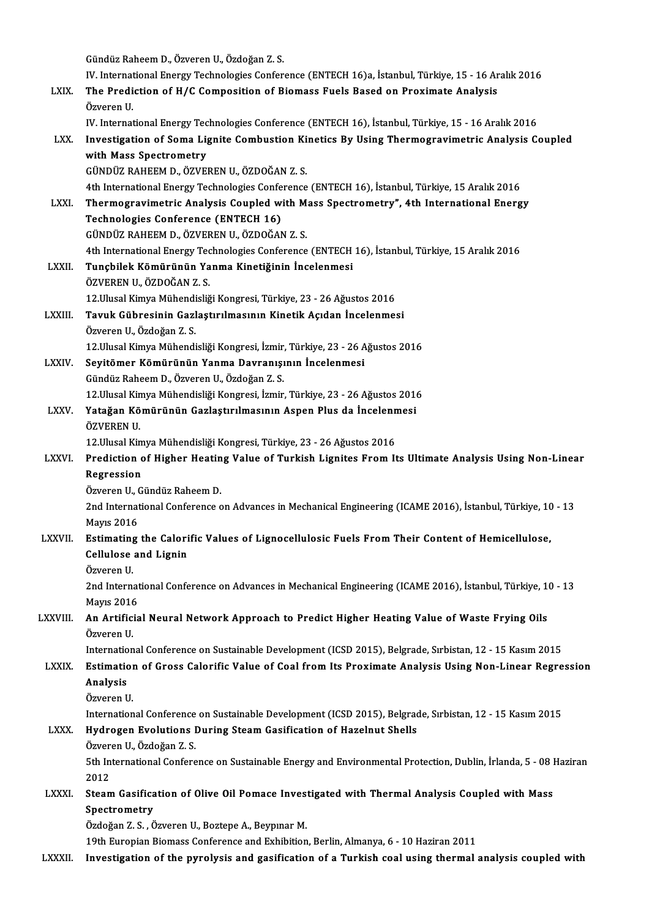Gündüz Raheem D., Özveren U., Özdoğan Z. S.

Gündüz Raheem D., Özveren U., Özdoğan Z. S.<br>IV. International Energy Technologies Conference (ENTECH 16)a, İstanbul, Türkiye, 15 - 16 Aralık 2016<br>The Predistion of H./C Composition of Biomasa Euela Based en Provimate Analy Gündüz Raheem D., Özveren U., Özdoğan Z. S.<br>IV. International Energy Technologies Conference (ENTECH 16)a, İstanbul, Türkiye, 15 - 16 Ar<br>LXIX. The Prediction of H/C Composition of Biomass Fuels Based on Proximate Analy The Prediction of H/C Composition of Biomass Fuels Based on Proximate Analysis Özveren U. The Prediction of H/C Composition of Biomass Fuels Based on Proximate Analysis<br>Özveren U.<br>IV. International Energy Technologies Conference (ENTECH 16), İstanbul, Türkiye, 15 - 16 Aralık 2016<br>Investigation of Soma Lignite C LXX. Investigation of Soma Lignite Combustion Kinetics By Using Thermogravimetric Analysis Coupled **IV. International Energy Tec<br>Investigation of Soma Li<br>with Mass Spectrometry<br>CÜNDÜZ RAHEEM D. ÖZVEI** 

GÜNDÜZRAHEEMD.,ÖZVERENU.,ÖZDOĞANZ.S. 4th InternationalEnergyTechnologiesConference (ENTECH16), İstanbul,Türkiye,15Aralık2016 GÜNDÜZ RAHEEM D., ÖZVEREN U., ÖZDOĞAN Z. S.<br>4th International Energy Technologies Conference (ENTECH 16), İstanbul, Türkiye, 15 Aralık 2016<br>LXXI. Thermogravimetric Analysis Coupled with Mass Spectrometry", 4th Internationa 4th International Energy Technologies Conference<br>Thermogravimetric Analysis Coupled with<br>Technologies Conference (ENTECH 16) Thermogravimetric Analysis Coupled with M<br>Technologies Conference (ENTECH 16)<br>GÜNDÜZ RAHEEM D., ÖZVEREN U., ÖZDOĞAN Z. S.<br>4th International Energy Technologies Conference

Technologies Conference (ENTECH 16)<br>GÜNDÜZ RAHEEM D., ÖZVEREN U., ÖZDOĞAN Z. S.<br>4th International Energy Technologies Conference (ENTECH 16), İstanbul, Türkiye, 15 Aralık 2016

GÜNDÜZ RAHEEM D., ÖZVEREN U., ÖZDOĞAN Z. S.<br>4th International Energy Technologies Conference (ENTECH<br>LXXII. Tunçbilek Kömürünün Yanma Kinetiğinin İncelenmesi<br>ÖZVEPEN U. ÖZDOĞAN Z. S 4th International Energy Tec<br>**Tunçbilek Kömürünün Ya**<br>ÖZVEREN U., ÖZDOĞAN Z. S.<br>12 Hlusal Kimus Mühandisliğ Tunçbilek Kömürünün Yanma Kinetiğinin İncelenmesi<br>ÖZVEREN U., ÖZDOĞAN Z. S.<br>12.Ulusal Kimya Mühendisliği Kongresi, Türkiye, 23 - 26 Ağustos 2016<br>Tavuk Gühnesinin Garlastınılmasının Kinetik Asıdan İnselenmes

## ÖZVEREN U., ÖZDOĞAN Z. S.<br>12.Ulusal Kimya Mühendisliği Kongresi, Türkiye, 23 - 26 Ağustos 2016<br>LXXIII. Tavuk Gübresinin Gazlaştırılmasının Kinetik Açıdan İncelenmesi<br>Özveren U., Özdoğan Z. S. 12.Ulusal Kimya Mühendi<br>**Tavuk Gübresinin Gazl**<br>Özveren U., Özdoğan Z. S.<br>12 Ulusal Kimya Mühandi

12. Ulusal Kimya Mühendisliği Kongresi, İzmir, Türkiye, 23 - 26 Ağustos 2016

Özveren U., Özdoğan Z. S.<br>12.Ulusal Kimya Mühendisliği Kongresi, İzmir, Türkiye, 23 - 26 A<br>LXXIV. Seyitömer Kömürünün Yanma Davranışının İncelenmesi

12.Ulusal Kimya Mühendisliği Kongresi, İzmir,<br>Seyitömer Kömürünün Yanma Davranışı<br>Gündüz Raheem D., Özveren U., Özdoğan Z. S.<br>12 Ulusal Kimya Mühandisliği Kongresi, İzmir Gündüz Raheem D., Özveren U., Özdoğan Z. S.<br>12.Ulusal Kimya Mühendisliği Kongresi, İzmir, Türkiye, 23 - 26 Ağustos 2016

- Gündüz Raheem D., Özveren U., Özdoğan Z. S.<br>12.Ulusal Kimya Mühendisliği Kongresi, İzmir, Türkiye, 23 26 Ağustos 201<br>LXXV. Yatağan Kömürünün Gazlaştırılmasının Aspen Plus da İncelenmesi<br>ÖZVEPEN U 12.Ulusal Kin<br><mark>Yatağan Kö</mark><br>ÖZVEREN U.<br>12 Ulusal Kin Yatağan Kömürünün Gazlaştırılmasının Aspen Plus da İncelenn<br>ÖZVEREN U.<br>12.Ulusal Kimya Mühendisliği Kongresi, Türkiye, 23 - 26 Ağustos 2016<br>Predistion of Hisber Heating Value of Turkish Lispites From U
	-

## ÖZVEREN U.<br>12.Ulusal Kimya Mühendisliği Kongresi, Türkiye, 23 - 26 Ağustos 2016<br>LXXVI. Prediction of Higher Heating Value of Turkish Lignites From Its Ultimate Analysis Using Non-Linear<br>Regression 12.Ulusal Kimya Mühendisliği Kongresi, Türkiye, 23 - 26 Ağustos 2016<br>Prediction of Higher Heating Value of Turkish Lignites From I<br>Regression<br>Özveren U., Gündüz Raheem D. Prediction of Higher Heatin<br>Regression<br>Özveren U., Gündüz Raheem D.<br>2nd International Conference c

Regression<br>Özveren U., Gündüz Raheem D.<br>2nd International Conference on Advances in Mechanical Engineering (ICAME 2016), İstanbul, Türkiye, 10 - 13<br>Mayre 2016 Özveren U., (<br>2nd Internat<br>Mayıs 2016<br>Estimating 2nd International Conference on Advances in Mechanical Engineering (ICAME 2016), İstanbul, Türkiye, 10<br>Mayıs 2016<br>LXXVII. Estimating the Calorific Values of Lignocellulosic Fuels From Their Content of Hemicellulose,<br>Cellul

## Mayıs 2016<br>Estimating the Calorific Values of Lignocellulosic Fuels From Their Content of Hemicellulose,<br>Cellulose and Lignin<br>Özveren U. Cellulose and Lignin

Cellulose and Lignin<br>Özveren U.<br>2nd International Conference on Advances in Mechanical Engineering (ICAME 2016), İstanbul, Türkiye, 10 - 13<br>Mayre 2016 Özveren U.<br>2nd Internat<br>Mayıs 2016<br>An Artificia 2nd International Conference on Advances in Mechanical Engineering (ICAME 2016), İstanbul, Türkiye, 1<br>Mayıs 2016<br>LXXVIII. An Artificial Neural Network Approach to Predict Higher Heating Value of Waste Frying Oils

## Mayıs 2016<br>**An Artific**<br>Özveren U.<br>Internation An Artificial Neural Network Approach to Predict Higher Heating Value of Waste Frying Oils<br>Özveren U.<br>International Conference on Sustainable Development (ICSD 2015), Belgrade, Sırbistan, 12 - 15 Kasım 2015<br>Estimation of C

Özveren U.<br>International Conference on Sustainable Development (ICSD 2015), Belgrade, Sırbistan, 12 - 15 Kasım 2015<br>LXXIX. Estimation of Gross Calorific Value of Coal from Its Proximate Analysis Using Non-Linear Regres Internatio<br>Estimatio<br>Analysis<br>Özveren U Estimation of Gross Calorific Value of Coal from Its Proximate Analysis Using Non-Linear Regression<br>Analysis<br>Özveren U. Analysis<br>Özveren U.<br>International Conference on Sustainable Development (ICSD 2015), Belgrade, Sırbistan, 12 - 15 Kasım 2015<br>Hydrogen Evelutions During Steam Casification of Hagelnut Shelle

# Özveren U.<br>International Conference on Sustainable Development (ICSD 2015), Belgrad<br>LXXX. Hydrogen Evolutions During Steam Gasification of Hazelnut Shells<br>Özygen U. Özdeğen Z. S

International Conference<br>Hydrogen Evolutions I<br>Özveren U., Özdoğan Z. S.<br>Eth International Confere Hydrogen Evolutions During Steam Gasification of Hazelnut Shells<br>Özveren U., Özdoğan Z. S.<br>5th International Conference on Sustainable Energy and Environmental Protection, Dublin, İrlanda, 5 - 08 Haziran<br>2012 Özveren U., Özdoğan Z. S. 5th International Conference on Sustainable Energy and Environmental Protection, Dublin, İrlanda, 5 - 08 l<br>2012<br>LXXXI. Steam Gasification of Olive Oil Pomace Investigated with Thermal Analysis Coupled with Mass<br>Spectrometr

### 2012<br>Steam Gasifica<br>Spectrometry<br>Ördeğen 7-S - Ö Steam Gasification of Olive Oil Pomace Invest<br>Spectrometry<br>Özdoğan Z. S. , Özveren U., Boztepe A., Beypınar M.<br>10th Euronian Biomass Conference and Eubibition Spectrometry<br>Özdoğan Z. S. , Özveren U., Boztepe A., Beypınar M.<br>19th Europian Biomass Conference and Exhibition, Berlin, Almanya, 6 - 10 Haziran 2011

LXXXII. Investigation of the pyrolysis and gasification of a Turkish coal using thermal analysis coupled with